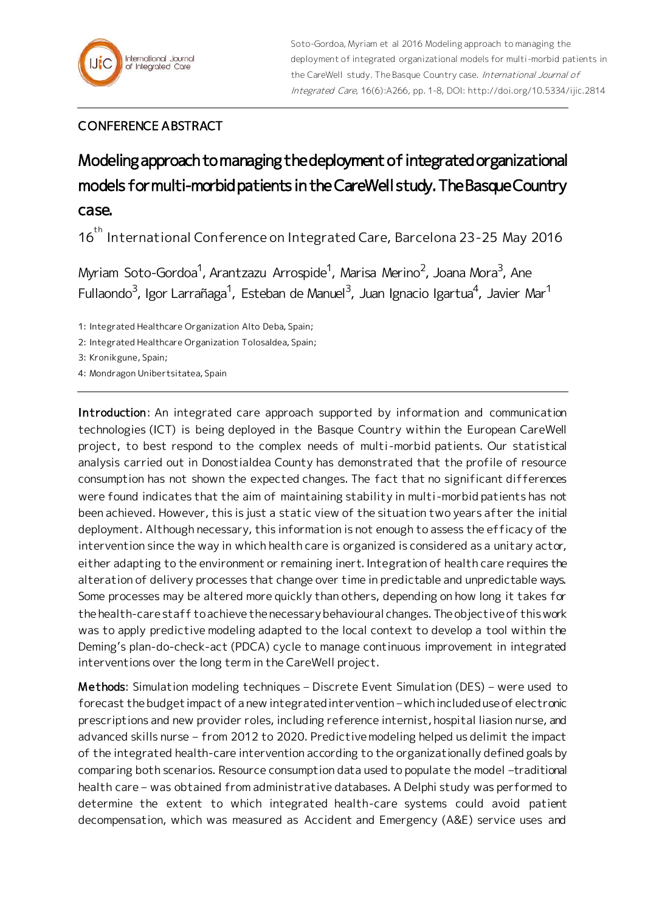## CONFERENCE ABSTRACT

## Modeling approach to managing the deployment of integrated organizational models for multi-morbid patients in the CareWell study. The Basque Country case.

16<sup>th</sup> International Conference on Integrated Care, Barcelona 23-25 May 2016

Myriam Soto-Gordoa<sup>1</sup>, Arantzazu Arrospide<sup>1</sup>, Marisa Merino<sup>2</sup>, Joana Mora<sup>3</sup>, Ane Fullaondo $^3$ , Igor Larrañaga $^1$ , Esteban de Manuel $^3$ , Juan Ignacio Igartua $^4$ , Javier Mar $^1$ 

1: Integrated Healthcare Organization Alto Deba, Spain;

2: Integrated Healthcare Organization Tolosaldea, Spain;

3: Kronikgune, Spain;

4: Mondragon Unibertsitatea, Spain

Introduction: An integrated care approach supported by information and communication technologies (ICT) is being deployed in the Basque Country within the European CareWell project, to best respond to the complex needs of multi-morbid patients. Our statistical analysis carried out in Donostialdea County has demonstrated that the profile of resource consumption has not shown the expected changes. The fact that no significant differences were found indicates that the aim of maintaining stability in multi-morbid patients has not been achieved. However, this is just a static view of the situation two years after the initial deployment. Although necessary, this information is not enough to assess the efficacy of the intervention since the way in which health care is organized is considered as a unitary actor, either adapting to the environment or remaining inert. Integration of health care requires the alteration of delivery processes that change over time in predictable and unpredictable ways. Some processes may be altered more quickly than others, depending on how long it takes for the health-care staff to achieve the necessary behavioural changes. The objective of this work was to apply predictive modeling adapted to the local context to develop a tool within the Deming's plan-do-check-act (PDCA) cycle to manage continuous improvement in integrated interventions over the long term in the CareWell project.

Methods: Simulation modeling techniques – Discrete Event Simulation (DES) – were used to forecast the budget impact of a new integrated intervention – which included use of electronic prescriptions and new provider roles, including reference internist, hospital liasion nurse, and advanced skills nurse – from 2012 to 2020. Predictive modeling helped us delimit the impact of the integrated health-care intervention according to the organizationally defined goals by comparing both scenarios. Resource consumption data used to populate the model -traditional health care – was obtained from administrative databases. A Delphi study was performed to determine the extent to which integrated health-care systems could avoid patient decompensation, which was measured as Accident and Emergency (A&E) service uses and